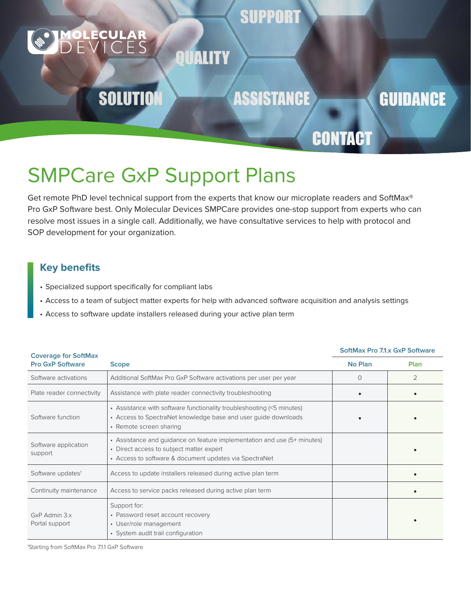### **SUPPORT**

## **SOLUTION**

**ASSISTANCE** 

### **GUIDANCE**

## **CONTACT**

# SMPCare GxP Support Plans

Get remote PhD level technical support from the experts that know our microplate readers and SoftMax® Pro GxP Software best. Only Molecular Devices SMPCare provides one-stop support from experts who can resolve most issues in a single call. Additionally, we have consultative services to help with protocol and SOP development for your organization.

QUALITY

### **Key benefits**

- Specialized support specifically for compliant labs
- Access to a team of subject matter experts for help with advanced software acquisition and analysis settings
- Access to software update installers released during your active plan term

#### **Coverage for SoftMax Pro GxP Software Scope No Plan Plan** Software activations  $\begin{array}{|c|c|c|}\n\end{array}$  Additional SoftMax Pro GxP Software activations per user per year  $\begin{array}{|c|c|c|}\n\end{array}$  0  $\begin{array}{|c|c|c|c|}\n\end{array}$  2 Plate reader connectivity  $\parallel$  Assistance with plate reader connectivity troubleshooting Software function • Assistance with software functionality troubleshooting (<5 minutes) • Access to SpectraNet knowledge base and user guide downloads • Remote screen sharing • • Software application support • Assistance and guidance on feature implementation and use (5+ minutes) • Direct access to subject matter expert • Access to software & document updates via SpectraNet • Software updates<sup>1</sup> Access to update installers released during active plan term  $\bullet$ Continuity maintenance Access to service packs released during active plan term  $\vert$  , we have the set of  $\vert$ GxP Admin 3.x Portal support Support for: • Password reset account recovery • User/role management • System audit trail configuration •

**SoftMax Pro 7.1.x GxP Software** 

1 Starting from SoftMax Pro 7.1.1 GxP Software